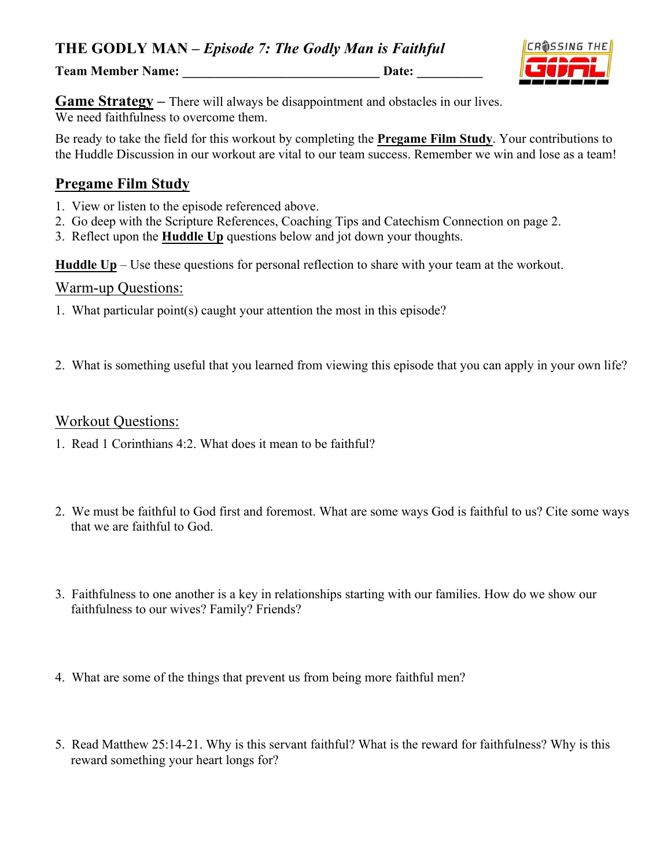**THE GODLY MAN –** *Episode 7: The Godly Man is Faithful*

**Team Member Name: \_\_\_\_\_\_\_\_\_\_\_\_\_\_\_\_\_\_\_\_\_\_\_\_\_\_\_\_\_\_ Date: \_\_\_\_\_\_\_\_\_\_**



**Game Strategy** – There will always be disappointment and obstacles in our lives. We need faithfulness to overcome them.

Be ready to take the field for this workout by completing the **Pregame Film Study**. Your contributions to the Huddle Discussion in our workout are vital to our team success. Remember we win and lose as a team!

### **Pregame Film Study**

- 1. View or listen to the episode referenced above.
- 2. Go deep with the Scripture References, Coaching Tips and Catechism Connection on page 2.
- 3. Reflect upon the **Huddle Up** questions below and jot down your thoughts.

**Huddle Up** – Use these questions for personal reflection to share with your team at the workout.

#### Warm-up Questions:

- 1. What particular point(s) caught your attention the most in this episode?
- 2. What is something useful that you learned from viewing this episode that you can apply in your own life?

#### Workout Questions:

- 1. Read 1 Corinthians 4:2. What does it mean to be faithful?
- 2. We must be faithful to God first and foremost. What are some ways God is faithful to us? Cite some ways that we are faithful to God.
- 3. Faithfulness to one another is a key in relationships starting with our families. How do we show our faithfulness to our wives? Family? Friends?
- 4. What are some of the things that prevent us from being more faithful men?
- 5. Read Matthew 25:14-21. Why is this servant faithful? What is the reward for faithfulness? Why is this reward something your heart longs for?